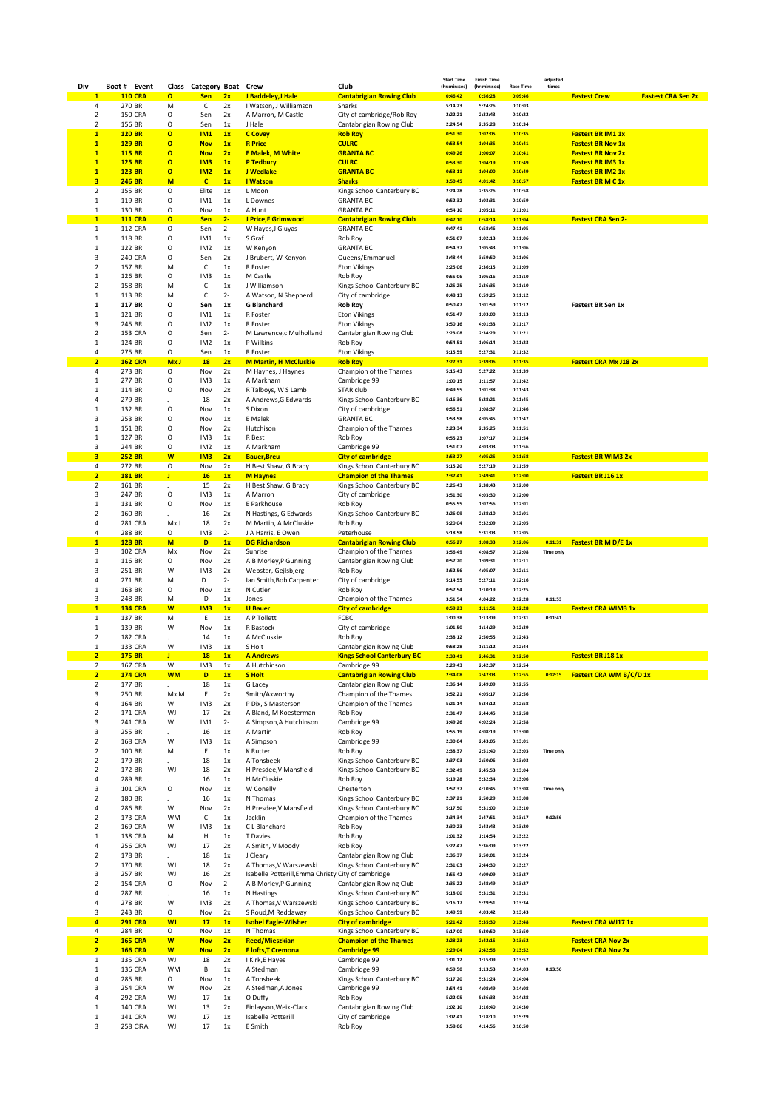| Div                              | Boat # Event                   |                           |                              | Class Category Boat Crew |             |                                                    | Club                                                        | <b>Start Time</b><br>(hr:min:sec) | <b>Finish Time</b><br>(hr:min:sec) | <b>Race Time</b>   | adjusted<br>times |                                                      |
|----------------------------------|--------------------------------|---------------------------|------------------------------|--------------------------|-------------|----------------------------------------------------|-------------------------------------------------------------|-----------------------------------|------------------------------------|--------------------|-------------------|------------------------------------------------------|
| $\mathbf{1}$                     |                                | <b>110 CRA</b>            | $\mathbf{o}$                 | <b>Sen</b>               | 2x          | J Baddeley, J Hale                                 | <b>Cantabrigian Rowing Club</b>                             | 0:46:42                           | 0:56:28                            | 0:09:46            |                   | <b>Fastest Crew</b><br><b>Fastest CRA Sen 2x</b>     |
| 4                                | 270 BR                         |                           | М                            | С                        | 2x          | I Watson, J Williamson                             | Sharks                                                      | 5:14:23                           | 5:24:26                            | 0:10:03            |                   |                                                      |
| 2                                |                                | <b>150 CRA</b>            | О                            | Sen                      | 2x          | A Marron, M Castle                                 | City of cambridge/Rob Roy                                   | 2:22:21                           | 2:32:43                            | 0:10:22            |                   |                                                      |
| $\overline{2}$                   | 156 BR                         |                           | O                            | Sen                      | 1x          | J Hale                                             | Cantabrigian Rowing Club                                    | 2:24:54                           | 2:35:28                            | 0:10:34            |                   |                                                      |
| $\mathbf{1}$                     | <b>120 BR</b>                  |                           | $\mathbf{o}$                 | <b>IM1</b>               | 1x          | <b>C</b> Covey                                     | <b>Rob Roy</b>                                              | 0:51:30                           | 1:02:05                            | 0:10:35            |                   | <b>Fastest BR IM1 1x</b>                             |
| $\mathbf{1}$<br>$\mathbf{1}$     | <b>129 BR</b><br><b>115 BR</b> |                           | $\mathbf{o}$<br>$\mathbf{o}$ | <b>Nov</b><br><b>Nov</b> | 1x<br>2x    | <b>R</b> Price<br><b>E Malek, M White</b>          | <b>CULRC</b><br><b>GRANTA BC</b>                            | 0:53:54<br>0:49:26                | 1:04:35<br>1:00:07                 | 0:10:41<br>0:10:41 |                   | <b>Fastest BR Nov 1x</b><br><b>Fastest BR Nov 2x</b> |
| $\mathbf{1}$                     | <b>125 BR</b>                  |                           | $\mathbf{o}$                 | IM <sub>3</sub>          | 1x          | <b>P Tedbury</b>                                   | <b>CULRC</b>                                                | 0:53:30                           | 1:04:19                            | 0:10:49            |                   | <b>Fastest BR IM3 1x</b>                             |
| $\mathbf{1}$                     | 123 BR                         |                           | $\mathbf{o}$                 | IM2                      | 1x          | J Wedlake                                          | <b>GRANTA BC</b>                                            | 0:53:11                           | 1:04:00                            | 0:10:49            |                   | <b>Fastest BR IM2 1x</b>                             |
| $\overline{\mathbf{3}}$          | <b>246 BR</b>                  |                           | M                            | $\mathbf{C}$             | 1x          | <b>I</b> Watson                                    | <b>Sharks</b>                                               | 3:50:45                           | 4:01:42                            | 0:10:57            |                   | <b>Fastest BRM C 1x</b>                              |
| $\overline{2}$                   | 155 BR                         |                           | O                            | Elite                    | 1x          | L Moon                                             | Kings School Canterbury BC                                  | 2:24:28                           | 2:35:26                            | 0:10:58            |                   |                                                      |
| 1                                | 119 BR                         |                           | O                            | IM1                      | 1x          | L Downes                                           | <b>GRANTA BC</b>                                            | 0:52:32                           | 1:03:31                            | 0:10:59            |                   |                                                      |
| 1                                | 130 BR                         |                           | О                            | Nov                      | 1x          | A Hunt                                             | <b>GRANTA BC</b>                                            | 0:54:10                           | 1:05:11                            | 0:11:01            |                   |                                                      |
| $\mathbf{1}$                     |                                | <b>111 CRA</b>            | $\mathbf{o}$                 | <b>Sen</b>               | $2 -$       | J Price,F Grimwood                                 | <b>Cantabrigian Rowing Club</b>                             | 0:47:10                           | 0:58:14<br>0:58:46                 | 0:11:04            |                   | <b>Fastest CRA Sen 2-</b>                            |
| $\mathbf{1}$<br>$\mathbf{1}$     | 118 BR                         | 112 CRA                   | O<br>O                       | Sen<br>IM1               | $2-$<br>1x  | W Hayes, J Gluyas<br>S Graf                        | <b>GRANTA BC</b><br>Rob Roy                                 | 0:47:41<br>0:51:07                | 1:02:13                            | 0:11:05<br>0:11:06 |                   |                                                      |
| 1                                | 122 BR                         |                           | O                            | IM <sub>2</sub>          | 1x          | W Kenyon                                           | <b>GRANTA BC</b>                                            | 0:54:37                           | 1:05:43                            | 0:11:06            |                   |                                                      |
| 3                                |                                | 240 CRA                   | О                            | Sen                      | 2x          | J Brubert, W Kenyon                                | Queens/Emmanuel                                             | 3:48:44                           | 3:59:50                            | 0:11:06            |                   |                                                      |
| $\overline{2}$                   | 157 BR                         |                           | M                            | c                        | 1x          | R Foster                                           | <b>Eton Vikings</b>                                         | 2:25:06                           | 2:36:15                            | 0:11:09            |                   |                                                      |
| 1                                | 126 BR                         |                           | O                            | IM3                      | 1x          | M Castle                                           | Rob Roy                                                     | 0:55:06                           | 1:06:16                            | 0:11:10            |                   |                                                      |
| $\overline{2}$                   | 158 BR                         |                           | M                            | c                        | 1x          | J Williamson                                       | Kings School Canterbury BC                                  | 2:25:25                           | 2:36:35                            | 0:11:10            |                   |                                                      |
| 1                                | 113 BR                         |                           | М                            | с                        | $2 -$       | A Watson, N Shepherd                               | City of cambridge                                           | 0:48:13                           | 0:59:25                            | 0:11:12            |                   |                                                      |
| 1                                | 117 BR                         |                           | о                            | Sen                      | 1x          | <b>G Blanchard</b>                                 | <b>Rob Roy</b>                                              | 0:50:47                           | 1:01:59                            | 0:11:12            |                   | Fastest BR Sen 1x                                    |
| 1<br>3                           | 121 BR<br>245 BR               |                           | О<br>O                       | IM1<br>IM <sub>2</sub>   | 1x<br>1x    | R Foster<br>R Foster                               | <b>Eton Vikings</b><br><b>Eton Vikings</b>                  | 0:51:47<br>3:50:16                | 1:03:00<br>4:01:33                 | 0:11:13<br>0:11:17 |                   |                                                      |
| $\overline{2}$                   |                                | 153 CRA                   | O                            | Sen                      | $2-$        | M Lawrence,c Mulholland                            | Cantabrigian Rowing Club                                    | 2:23:08                           | 2:34:29                            | 0:11:21            |                   |                                                      |
| 1                                | 124 BR                         |                           | O                            | IM <sub>2</sub>          | 1x          | P Wilkins                                          | Rob Roy                                                     | 0:54:51                           | 1:06:14                            | 0:11:23            |                   |                                                      |
| 4                                | 275 BR                         |                           | O                            | Sen                      | 1x          | R Foster                                           | <b>Eton Vikings</b>                                         | 5:15:59                           | 5:27:31                            | 0:11:32            |                   |                                                      |
| $\overline{2}$                   |                                | <b>162 CRA</b>            | Mx J                         | <b>18</b>                | 2x          | <b>M Martin, H McCluskie</b>                       | <b>Rob Roy</b>                                              | 2:27:31                           | 2:39:06                            | 0:11:35            |                   | <b>Fastest CRA Mx J18 2x</b>                         |
| 4                                | 273 BR                         |                           | O                            | Nov                      | 2x          | M Haynes, J Haynes                                 | Champion of the Thames                                      | 5:15:43                           | 5:27:22                            | 0:11:39            |                   |                                                      |
| 1                                | 277 BR                         |                           | O                            | IM3                      | 1x          | A Markham                                          | Cambridge 99                                                | 1:00:15                           | 1:11:57                            | 0:11:42            |                   |                                                      |
| 1<br>4                           | 114 BR<br>279 BR               |                           | O<br>J                       | Nov<br>18                | 2x<br>2x    | R Talboys, W S Lamb<br>A Andrews, G Edwards        | STAR club<br>Kings School Canterbury BC                     | 0:49:55<br>5:16:36                | 1:01:38<br>5:28:21                 | 0:11:43<br>0:11:45 |                   |                                                      |
| 1                                | 132 BR                         |                           | O                            | Nov                      | 1x          | S Dixon                                            | City of cambridge                                           | 0:56:51                           | 1:08:37                            | 0:11:46            |                   |                                                      |
| 3                                | 253 BR                         |                           | O                            | Nov                      | 1x          | E Malek                                            | <b>GRANTA BC</b>                                            | 3:53:58                           | 4:05:45                            | 0:11:47            |                   |                                                      |
| 1                                | 151 BR                         |                           | O                            | Nov                      | 2x          | Hutchison                                          | Champion of the Thames                                      | 2:23:34                           | 2:35:25                            | 0:11:51            |                   |                                                      |
| 1                                | 127 BR                         |                           | O                            | IM3                      | 1x          | R Best                                             | Rob Roy                                                     | 0:55:23                           | 1:07:17                            | 0:11:54            |                   |                                                      |
| 3                                | 244 BR                         |                           | O                            | IM <sub>2</sub>          | 1x          | A Markham                                          | Cambridge 99                                                | 3:51:07                           | 4:03:03                            | 0:11:56            |                   |                                                      |
| 3                                | <b>252 BR</b>                  |                           | W                            | IM <sub>3</sub>          | 2x          | <b>Bauer, Breu</b>                                 | <b>City of cambridge</b>                                    | 3:53:27                           | 4:05:25                            | 0:11:58            |                   | <b>Fastest BR WIM3 2x</b>                            |
| 4                                | 272 BR                         |                           | O                            | Nov                      | 2x          | H Best Shaw, G Brady                               | Kings School Canterbury BC                                  | 5:15:20                           | 5:27:19                            | 0:11:59            |                   |                                                      |
| $\overline{2}$<br>$\overline{2}$ | <b>181 BR</b><br>161 BR        |                           | J<br>J                       | <b>16</b><br>15          | 1x<br>2x    | <b>M Haynes</b><br>H Best Shaw, G Brady            | <b>Champion of the Thames</b><br>Kings School Canterbury BC | 2:37:41<br>2:26:43                | 2:49:41<br>2:38:43                 | 0:12:00<br>0:12:00 |                   | Fastest BR J16 1x                                    |
| 3                                | 247 BR                         |                           | О                            | IM3                      | 1x          | A Marron                                           | City of cambridge                                           | 3:51:30                           | 4:03:30                            | 0:12:00            |                   |                                                      |
| 1                                | 131 BR                         |                           | O                            | Nov                      | 1x          | E Parkhouse                                        | Rob Roy                                                     | 0:55:55                           | 1:07:56                            | 0:12:01            |                   |                                                      |
| $\overline{2}$                   | 160 BR                         |                           | J                            | 16                       | 2x          | N Hastings, G Edwards                              | Kings School Canterbury BC                                  | 2:26:09                           | 2:38:10                            | 0:12:01            |                   |                                                      |
| 4                                |                                | 281 CRA                   | Mx J                         | 18                       | 2x          | M Martin, A McCluskie                              | Rob Roy                                                     | 5:20:04                           | 5:32:09                            | 0:12:05            |                   |                                                      |
| 4                                | 288 BR                         |                           | О                            | IM3                      | $2 -$       | J A Harris, E Owen                                 | Peterhouse                                                  | 5:18:58                           | 5:31:03                            | 0:12:05            |                   |                                                      |
| $\mathbf{1}$                     | <b>128 BR</b>                  |                           | M                            | D                        | 1x          | <b>DG Richardson</b>                               | <b>Cantabrigian Rowing Club</b>                             | 0:56:27                           | 1:08:33                            | 0:12:06            | 0:11:31           | <b>Fastest BR M D/E 1x</b>                           |
| 3<br>1                           | 116 BR                         | <b>102 CRA</b>            | Mx<br>O                      | Nov<br>Nov               | 2x<br>2x    | Sunrise<br>A B Morley, P Gunning                   | Champion of the Thames                                      | 3:56:49<br>0:57:20                | 4:08:57<br>1:09:31                 | 0:12:08<br>0:12:11 | <b>Time only</b>  |                                                      |
| 3                                | 251 BR                         |                           | W                            | IM3                      | 2x          | Webster, Gejlsbjerg                                | Cantabrigian Rowing Club<br>Rob Roy                         | 3:52:56                           | 4:05:07                            | 0:12:11            |                   |                                                      |
| 4                                | 271 BR                         |                           | М                            | D                        | $2 -$       | Ian Smith, Bob Carpenter                           | City of cambridge                                           | 5:14:55                           | 5:27:11                            | 0:12:16            |                   |                                                      |
| $\mathbf{1}$                     | 163 BR                         |                           | О                            | Nov                      | 1x          | N Cutler                                           | Rob Roy                                                     | 0:57:54                           | 1:10:19                            | 0:12:25            |                   |                                                      |
| 3                                | 248 BR                         |                           | M                            | D                        | 1x          | Jones                                              | Champion of the Thames                                      | 3:51:54                           | 4:04:22                            | 0:12:28            | 0:11:53           |                                                      |
| $\mathbf{1}$                     |                                | <b>134 CRA</b>            | W                            | IM <sub>3</sub>          | 1x          | <b>U</b> Bauer                                     | <b>City of cambridge</b>                                    | 0:59:23                           | 1:11:51                            | 0:12:28            |                   | <b>Fastest CRA WIM3 1x</b>                           |
| $\mathbf 1$                      | 137 BR                         |                           | M                            | Ε                        | 1x          | A P Tollett                                        | FCBC                                                        | 1:00:38                           | 1:13:09                            | 0:12:31            | 0:11:41           |                                                      |
| 1<br>$\overline{2}$              | 139 BR                         |                           | W<br>J                       | Nov                      | 1x          | R Bastock<br>A McCluskie                           | City of cambridge                                           | 1:01:50<br>2:38:12                | 1:14:29<br>2:50:55                 | 0:12:39<br>0:12:43 |                   |                                                      |
| 1                                |                                | <b>182 CRA</b><br>133 CRA | W                            | 14<br>IM3                | 1x<br>1x    | S Holt                                             | Rob Roy<br>Cantabrigian Rowing Club                         | 0:58:28                           | 1:11:12                            | 0:12:44            |                   |                                                      |
| $\overline{2}$                   | <b>175 BR</b>                  |                           | T                            | <b>18</b>                | 1x          | <b>A Andrews</b>                                   | <b>Kings School Canterbury BC</b>                           | 2:33:41                           | 2:46:31                            | 0:12:50            |                   | Fastest BR J18 1x                                    |
| $\mathbf 2$                      |                                | 167 CRA                   | W                            | IM3                      | 1x          | A Hutchinson                                       | Cambridge 99                                                | 2:29:43                           | 2:42:37                            | 0:12:54            |                   |                                                      |
| $\overline{2}$                   |                                | <b>174 CRA</b>            | <b>WM</b>                    | D                        | 1x          | <b>S</b> Holt                                      | <b>Cantabrigian Rowing Club</b>                             | 2:34:08                           | 2:47:03                            | 0:12:55            | 0:12:15           | Fastest CRA WM B/C/D 1x                              |
| $\overline{2}$                   | 177 BR                         |                           | J.                           | 18                       | 1x          | G Lacey                                            | Cantabrigian Rowing Club                                    | 2:36:14                           | 2:49:09                            | 0:12:55            |                   |                                                      |
| 3                                | 250 BR                         |                           | Mx M                         | Ε                        | 2x          | Smith/Axworthy                                     | Champion of the Thames                                      | 3:52:21                           | 4:05:17                            | 0:12:56            |                   |                                                      |
| 4                                | 164 BR                         |                           | W                            | IM3                      | 2x          | P Dix, S Masterson                                 | Champion of the Thames                                      | 5:21:14                           | 5:34:12                            | 0:12:58            |                   |                                                      |
| $\overline{2}$<br>3              |                                | 171 CRA<br>241 CRA        | WJ<br>W                      | 17<br>IM1                | 2x<br>$2 -$ | A Bland, M Koesterman<br>A Simpson, A Hutchinson   | Rob Roy<br>Cambridge 99                                     | 2:31:47<br>3:49:26                | 2:44:45<br>4:02:24                 | 0:12:58<br>0:12:58 |                   |                                                      |
| 3                                | 255 BR                         |                           | J                            | 16                       | 1x          | A Martin                                           | Rob Roy                                                     | 3:55:19                           | 4:08:19                            | 0:13:00            |                   |                                                      |
| $\overline{2}$                   |                                | <b>168 CRA</b>            | W                            | IM3                      | 1x          | A Simpson                                          | Cambridge 99                                                | 2:30:04                           | 2:43:05                            | 0:13:01            |                   |                                                      |
| $\overline{2}$                   | 100 BR                         |                           | М                            | Ε                        | 1x          | <b>K</b> Rutter                                    | Rob Roy                                                     | 2:38:37                           | 2:51:40                            | 0:13:03            | <b>Time only</b>  |                                                      |
| $\overline{2}$                   | 179 BR                         |                           | $\mathsf J$                  | 18                       | 1x          | A Tonsbeek                                         | Kings School Canterbury BC                                  | 2:37:03                           | 2:50:06                            | 0:13:03            |                   |                                                      |
| $\overline{2}$                   | 172 BR                         |                           | WJ                           | 18                       | 2x          | H Presdee, V Mansfield                             | Kings School Canterbury BC                                  | 2:32:49                           | 2:45:53                            | 0:13:04            |                   |                                                      |
| 4<br>3                           | 289 BR                         | 101 CRA                   | J<br>O                       | 16<br>Nov                | 1x<br>1x    | H McCluskie<br>W Conelly                           | Rob Roy<br>Chesterton                                       | 5:19:28<br>3:57:37                | 5:32:34<br>4:10:45                 | 0:13:06<br>0:13:08 | <b>Time only</b>  |                                                      |
| $\overline{2}$                   | 180 BR                         |                           | J                            | 16                       | 1x          | N Thomas                                           | Kings School Canterbury BC                                  | 2:37:21                           | 2:50:29                            | 0:13:08            |                   |                                                      |
| 4                                | 286 BR                         |                           | W                            | Nov                      | 2x          | H Presdee, V Mansfield                             | Kings School Canterbury BC                                  | 5:17:50                           | 5:31:00                            | 0:13:10            |                   |                                                      |
| $\overline{2}$                   |                                | 173 CRA                   | WM                           | c                        | 1x          | Jacklin                                            | Champion of the Thames                                      | 2:34:34                           | 2:47:51                            | 0:13:17            | 0:12:56           |                                                      |
| $\overline{2}$                   |                                | 169 CRA                   | W                            | IM3                      | 1x          | C L Blanchard                                      | Rob Roy                                                     | 2:30:23                           | 2:43:43                            | 0:13:20            |                   |                                                      |
| $\mathbf{1}$                     |                                | <b>138 CRA</b>            | М                            | н                        | 1x          | T Davies                                           | Rob Roy                                                     | 1:01:32                           | 1:14:54                            | 0:13:22            |                   |                                                      |
| 4                                |                                | <b>256 CRA</b>            | WJ                           | 17                       | 2x          | A Smith, V Moody                                   | Rob Roy                                                     | 5:22:47                           | 5:36:09                            | 0:13:22            |                   |                                                      |
| $\overline{2}$<br>$\overline{2}$ | 178 BR<br>170 BR               |                           | $\mathsf{J}^-$<br>WJ         | 18<br>18                 | 1x<br>2x    | J Cleary<br>A Thomas, V Warszewski                 | Cantabrigian Rowing Club<br>Kings School Canterbury BC      | 2:36:37<br>2:31:03                | 2:50:01<br>2:44:30                 | 0:13:24<br>0:13:27 |                   |                                                      |
| 3                                | 257 BR                         |                           | WJ                           | 16                       | 2x          | Isabelle Potterill, Emma Christy City of cambridge |                                                             | 3:55:42                           | 4:09:09                            | 0:13:27            |                   |                                                      |
| $\overline{2}$                   |                                | <b>154 CRA</b>            | O                            | Nov                      | $2-$        | A B Morley, P Gunning                              | Cantabrigian Rowing Club                                    | 2:35:22                           | 2:48:49                            | 0:13:27            |                   |                                                      |
| 4                                | 287 BR                         |                           | J                            | 16                       | 1x          | N Hastings                                         | Kings School Canterbury BC                                  | 5:18:00                           | 5:31:31                            | 0:13:31            |                   |                                                      |
| 4                                | 278 BR                         |                           | W                            | IM3                      | 2x          | A Thomas, V Warszewski                             | Kings School Canterbury BC                                  | 5:16:17                           | 5:29:51                            | 0:13:34            |                   |                                                      |
| 3                                | 243 BR                         |                           | O                            | Nov                      | 2x          | S Roud, M Reddaway                                 | Kings School Canterbury BC                                  | 3:49:59                           | 4:03:42                            | 0:13:43            |                   |                                                      |
| 4                                |                                | <b>291 CRA</b>            | <b>WJ</b>                    | 17                       | 1x          | <b>Isobel Eagle-Wilsher</b>                        | <b>City of cambridge</b>                                    | 5:21:42                           | 5:35:30                            | 0:13:48            |                   | <b>Fastest CRA WJ17 1x</b>                           |
| 4<br>$\overline{2}$              | 284 BR                         | <b>165 CRA</b>            | O<br>W                       | Nov<br><b>Nov</b>        | 1x<br>2x    | N Thomas<br><b>Reed/Mieszkian</b>                  | Kings School Canterbury BC<br><b>Champion of the Thames</b> | 5:17:00<br>2:28:23                | 5:30:50<br>2:42:15                 | 0:13:50<br>0:13:52 |                   | <b>Fastest CRA Nov 2x</b>                            |
| $\overline{2}$                   |                                | <b>166 CRA</b>            | W                            | <b>Nov</b>               | 2x          | F lofts, T Cremona                                 | <b>Cambridge 99</b>                                         | 2:29:04                           | 2:42:56                            | 0:13:52            |                   | <b>Fastest CRA Nov 2x</b>                            |
| $\mathbf{1}$                     |                                | 135 CRA                   | WJ                           | 18                       | 2x          | I Kirk, E Hayes                                    | Cambridge 99                                                | 1:01:12                           | 1:15:09                            | 0:13:57            |                   |                                                      |
| $\mathbf{1}$                     |                                | 136 CRA                   | WM                           | В                        | 1x          | A Stedman                                          | Cambridge 99                                                | 0:59:50                           | 1:13:53                            | 0:14:03            | 0:13:56           |                                                      |
| 4                                | 285 BR                         |                           | О                            | Nov                      | 1x          | A Tonsbeek                                         | Kings School Canterbury BC                                  | 5:17:20                           | 5:31:24                            | 0:14:04            |                   |                                                      |
| 3                                |                                | 254 CRA                   | W                            | Nov                      | 2x          | A Stedman, A Jones                                 | Cambridge 99                                                | 3:54:41                           | 4:08:49                            | 0:14:08            |                   |                                                      |
| 4<br>1                           |                                | 292 CRA<br>140 CRA        | WJ<br>WJ                     | 17<br>13                 | 1x<br>2x    | O Duffy<br>Finlayson, Weik-Clark                   | Rob Roy<br>Cantabrigian Rowing Club                         | 5:22:05<br>1:02:10                | 5:36:33<br>1:16:40                 | 0:14:28<br>0:14:30 |                   |                                                      |
| 1                                |                                | 141 CRA                   | WJ                           | 17                       | 1x          | Isabelle Potterill                                 | City of cambridge                                           | 1:02:41                           | 1:18:10                            | 0:15:29            |                   |                                                      |
| 3                                |                                | <b>258 CRA</b>            | WJ                           | 17                       | 1x          | E Smith                                            | Rob Roy                                                     | 3:58:06                           | 4:14:56                            | 0:16:50            |                   |                                                      |
|                                  |                                |                           |                              |                          |             |                                                    |                                                             |                                   |                                    |                    |                   |                                                      |